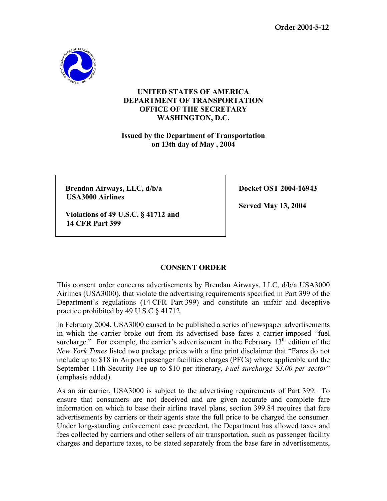

## **UNITED STATES OF AMERICA DEPARTMENT OF TRANSPORTATION OFFICE OF THE SECRETARY WASHINGTON, D.C.**

**Issued by the Department of Transportation on 13th day of May , 2004** 

**Brendan Airways, LLC, d/b/a** Docket OST 2004-16943  **USA3000 Airlines** 

 **Served May 13, 2004** 

**Violations of 49 U.S.C. § 41712 and 14 CFR Part 399** 

## **CONSENT ORDER**

This consent order concerns advertisements by Brendan Airways, LLC, d/b/a USA3000 Airlines (USA3000), that violate the advertising requirements specified in Part 399 of the Department's regulations (14 CFR Part 399) and constitute an unfair and deceptive practice prohibited by 49 U.S.C § 41712.

In February 2004, USA3000 caused to be published a series of newspaper advertisements in which the carrier broke out from its advertised base fares a carrier-imposed "fuel surcharge." For example, the carrier's advertisement in the February  $13<sup>th</sup>$  edition of the *New York Times* listed two package prices with a fine print disclaimer that "Fares do not include up to \$18 in Airport passenger facilities charges (PFCs) where applicable and the September 11th Security Fee up to \$10 per itinerary, *Fuel surcharge \$3.00 per sector*" (emphasis added).

As an air carrier, USA3000 is subject to the advertising requirements of Part 399. To ensure that consumers are not deceived and are given accurate and complete fare information on which to base their airline travel plans, section 399.84 requires that fare advertisements by carriers or their agents state the full price to be charged the consumer. Under long-standing enforcement case precedent, the Department has allowed taxes and fees collected by carriers and other sellers of air transportation, such as passenger facility charges and departure taxes, to be stated separately from the base fare in advertisements,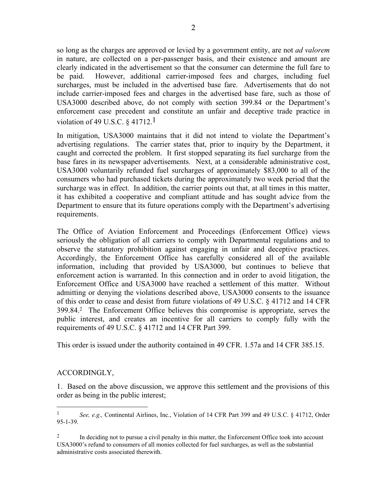so long as the charges are approved or levied by a government entity, are not *ad valorem*  in nature, are collected on a per-passenger basis, and their existence and amount are clearly indicated in the advertisement so that the consumer can determine the full fare to be paid. However, additional carrier-imposed fees and charges, including fuel surcharges, must be included in the advertised base fare. Advertisements that do not include carrier-imposed fees and charges in the advertised base fare, such as those of USA3000 described above, do not comply with section 399.84 or the Department's enforcement case precedent and constitute an unfair and deceptive trade practice in violation of 49 U.S.C.  $\S$  41712.<sup>1</sup>

In mitigation, USA3000 maintains that it did not intend to violate the Department's advertising regulations. The carrier states that, prior to inquiry by the Department, it caught and corrected the problem. It first stopped separating its fuel surcharge from the base fares in its newspaper advertisements. Next, at a considerable administrative cost, USA3000 voluntarily refunded fuel surcharges of approximately \$83,000 to all of the consumers who had purchased tickets during the approximately two week period that the surcharge was in effect. In addition, the carrier points out that, at all times in this matter, it has exhibited a cooperative and compliant attitude and has sought advice from the Department to ensure that its future operations comply with the Department's advertising requirements.

The Office of Aviation Enforcement and Proceedings (Enforcement Office) views seriously the obligation of all carriers to comply with Departmental regulations and to observe the statutory prohibition against engaging in unfair and deceptive practices. Accordingly, the Enforcement Office has carefully considered all of the available information, including that provided by USA3000, but continues to believe that enforcement action is warranted. In this connection and in order to avoid litigation, the Enforcement Office and USA3000 have reached a settlement of this matter. Without admitting or denying the violations described above, USA3000 consents to the issuance of this order to cease and desist from future violations of 49 U.S.C. § 41712 and 14 CFR 399.84.2 The Enforcement Office believes this compromise is appropriate, serves the public interest, and creates an incentive for all carriers to comply fully with the requirements of 49 U.S.C. § 41712 and 14 CFR Part 399.

This order is issued under the authority contained in 49 CFR. 1.57a and 14 CFR 385.15.

## ACCORDINGLY,

1

1. Based on the above discussion, we approve this settlement and the provisions of this order as being in the public interest;

<sup>1</sup> *See, e.g*.*,* Continental Airlines, Inc., Violation of 14 CFR Part 399 and 49 U.S.C. § 41712, Order 95-1-39.

 $2<sup>2</sup>$  In deciding not to pursue a civil penalty in this matter, the Enforcement Office took into account USA3000's refund to consumers of all monies collected for fuel surcharges, as well as the substantial administrative costs associated therewith.